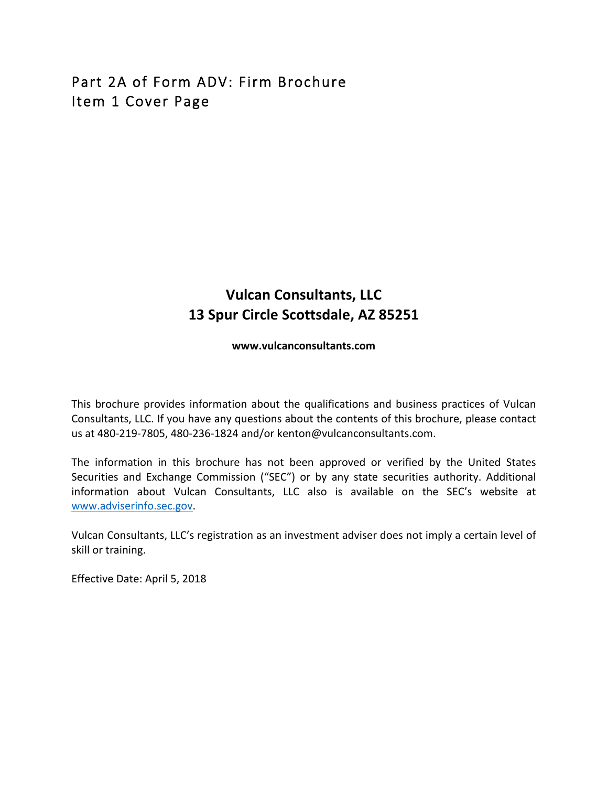# Part 2A of Form ADV: Firm Brochure Item 1 Cover Page

## **Vulcan Consultants, LLC 13 Spur Circle Scottsdale, AZ 85251**

**www.vulcanconsultants.com**

This brochure provides information about the qualifications and business practices of Vulcan Consultants, LLC. If you have any questions about the contents of this brochure, please contact us at 480-219-7805, 480-236-1824 and/or kenton@vulcanconsultants.com.

The information in this brochure has not been approved or verified by the United States Securities and Exchange Commission ("SEC") or by any state securities authority. Additional information about Vulcan Consultants, LLC also is available on the SEC's website at www.adviserinfo.sec.gov. 

Vulcan Consultants, LLC's registration as an investment adviser does not imply a certain level of skill or training.

Effective Date: April 5, 2018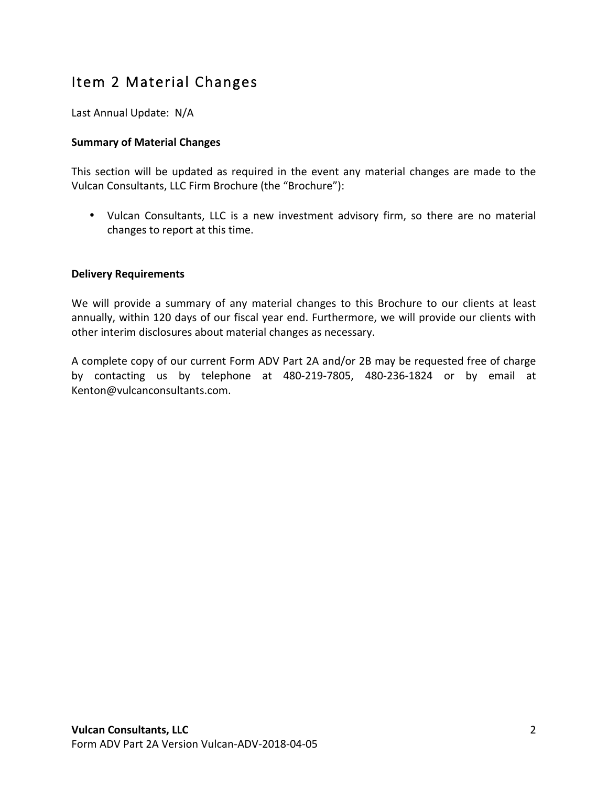# Item 2 Material Changes

Last Annual Update: N/A

## **Summary of Material Changes**

This section will be updated as required in the event any material changes are made to the Vulcan Consultants, LLC Firm Brochure (the "Brochure"):

• Vulcan Consultants, LLC is a new investment advisory firm, so there are no material changes to report at this time.

### **Delivery Requirements**

We will provide a summary of any material changes to this Brochure to our clients at least annually, within 120 days of our fiscal year end. Furthermore, we will provide our clients with other interim disclosures about material changes as necessary.

A complete copy of our current Form ADV Part 2A and/or 2B may be requested free of charge by contacting us by telephone at 480-219-7805, 480-236-1824 or by email at Kenton@vulcanconsultants.com.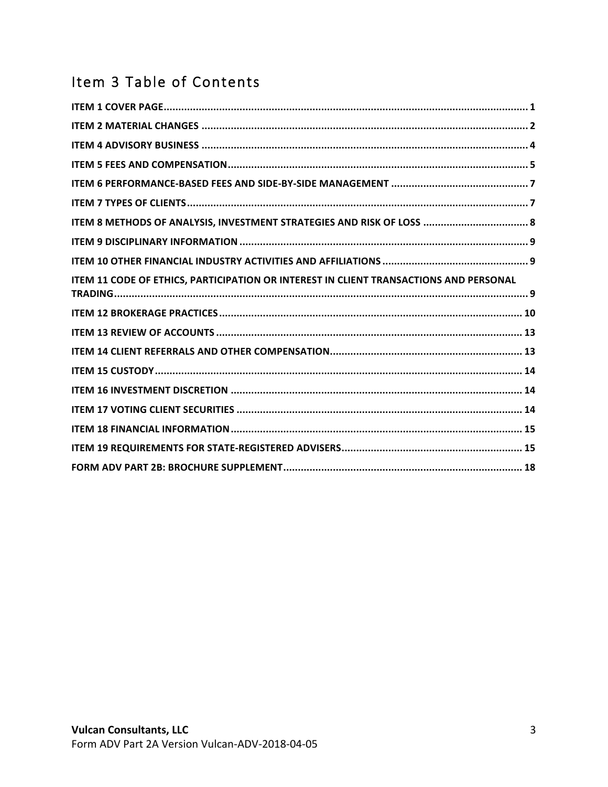# Item 3 Table of Contents

| ITEM 8 METHODS OF ANALYSIS, INVESTMENT STRATEGIES AND RISK OF LOSS  8                 |
|---------------------------------------------------------------------------------------|
|                                                                                       |
|                                                                                       |
| ITEM 11 CODE OF ETHICS, PARTICIPATION OR INTEREST IN CLIENT TRANSACTIONS AND PERSONAL |
|                                                                                       |
|                                                                                       |
|                                                                                       |
|                                                                                       |
|                                                                                       |
|                                                                                       |
|                                                                                       |
|                                                                                       |
|                                                                                       |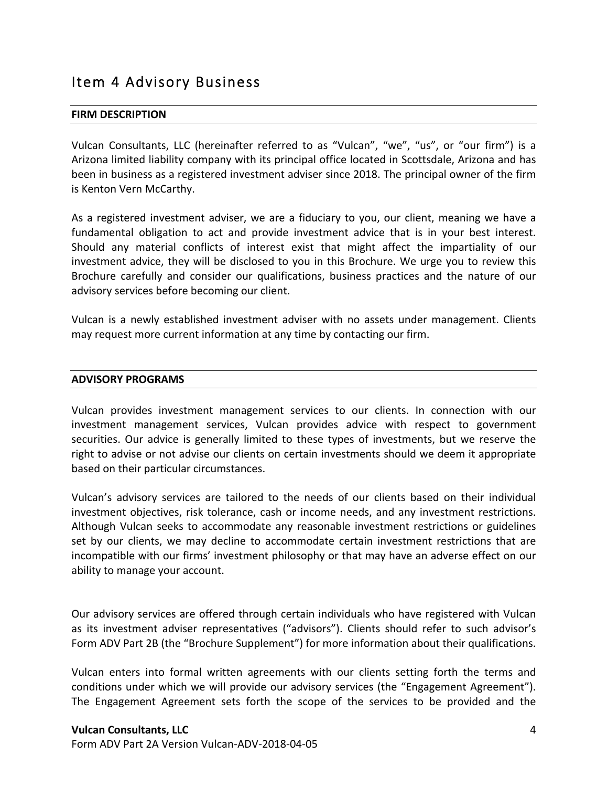## Item 4 Advisory Business

#### **FIRM DESCRIPTION**

Vulcan Consultants, LLC (hereinafter referred to as "Vulcan", "we", "us", or "our firm") is a Arizona limited liability company with its principal office located in Scottsdale, Arizona and has been in business as a registered investment adviser since 2018. The principal owner of the firm is Kenton Vern McCarthy.

As a registered investment adviser, we are a fiduciary to you, our client, meaning we have a fundamental obligation to act and provide investment advice that is in your best interest. Should any material conflicts of interest exist that might affect the impartiality of our investment advice, they will be disclosed to you in this Brochure. We urge you to review this Brochure carefully and consider our qualifications, business practices and the nature of our advisory services before becoming our client.

Vulcan is a newly established investment adviser with no assets under management. Clients may request more current information at any time by contacting our firm.

#### **ADVISORY PROGRAMS**

Vulcan provides investment management services to our clients. In connection with our investment management services, Vulcan provides advice with respect to government securities. Our advice is generally limited to these types of investments, but we reserve the right to advise or not advise our clients on certain investments should we deem it appropriate based on their particular circumstances.

Vulcan's advisory services are tailored to the needs of our clients based on their individual investment objectives, risk tolerance, cash or income needs, and any investment restrictions. Although Vulcan seeks to accommodate any reasonable investment restrictions or guidelines set by our clients, we may decline to accommodate certain investment restrictions that are incompatible with our firms' investment philosophy or that may have an adverse effect on our ability to manage your account.

Our advisory services are offered through certain individuals who have registered with Vulcan as its investment adviser representatives ("advisors"). Clients should refer to such advisor's Form ADV Part 2B (the "Brochure Supplement") for more information about their qualifications.

Vulcan enters into formal written agreements with our clients setting forth the terms and conditions under which we will provide our advisory services (the "Engagement Agreement"). The Engagement Agreement sets forth the scope of the services to be provided and the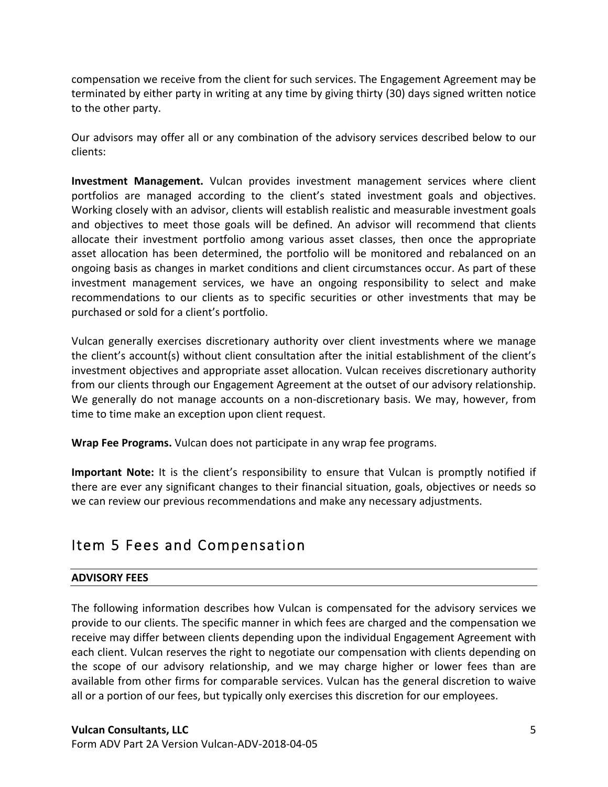compensation we receive from the client for such services. The Engagement Agreement may be terminated by either party in writing at any time by giving thirty (30) days signed written notice to the other party.

Our advisors may offer all or any combination of the advisory services described below to our clients:

**Investment Management.** Vulcan provides investment management services where client portfolios are managed according to the client's stated investment goals and objectives. Working closely with an advisor, clients will establish realistic and measurable investment goals and objectives to meet those goals will be defined. An advisor will recommend that clients allocate their investment portfolio among various asset classes, then once the appropriate asset allocation has been determined, the portfolio will be monitored and rebalanced on an ongoing basis as changes in market conditions and client circumstances occur. As part of these investment management services, we have an ongoing responsibility to select and make recommendations to our clients as to specific securities or other investments that may be purchased or sold for a client's portfolio.

Vulcan generally exercises discretionary authority over client investments where we manage the client's account(s) without client consultation after the initial establishment of the client's investment objectives and appropriate asset allocation. Vulcan receives discretionary authority from our clients through our Engagement Agreement at the outset of our advisory relationship. We generally do not manage accounts on a non-discretionary basis. We may, however, from time to time make an exception upon client request.

**Wrap Fee Programs.** Vulcan does not participate in any wrap fee programs.

**Important Note:** It is the client's responsibility to ensure that Vulcan is promptly notified if there are ever any significant changes to their financial situation, goals, objectives or needs so we can review our previous recommendations and make any necessary adjustments.

## Item 5 Fees and Compensation

## **ADVISORY FEES**

The following information describes how Vulcan is compensated for the advisory services we provide to our clients. The specific manner in which fees are charged and the compensation we receive may differ between clients depending upon the individual Engagement Agreement with each client. Vulcan reserves the right to negotiate our compensation with clients depending on the scope of our advisory relationship, and we may charge higher or lower fees than are available from other firms for comparable services. Vulcan has the general discretion to waive all or a portion of our fees, but typically only exercises this discretion for our employees.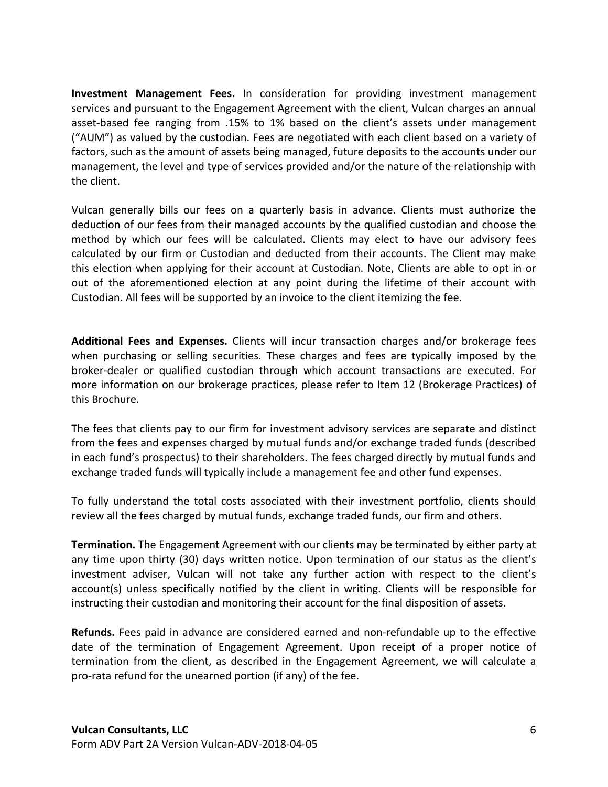**Investment Management Fees.** In consideration for providing investment management services and pursuant to the Engagement Agreement with the client, Vulcan charges an annual asset-based fee ranging from .15% to 1% based on the client's assets under management ("AUM") as valued by the custodian. Fees are negotiated with each client based on a variety of factors, such as the amount of assets being managed, future deposits to the accounts under our management, the level and type of services provided and/or the nature of the relationship with the client.

Vulcan generally bills our fees on a quarterly basis in advance. Clients must authorize the deduction of our fees from their managed accounts by the qualified custodian and choose the method by which our fees will be calculated. Clients may elect to have our advisory fees calculated by our firm or Custodian and deducted from their accounts. The Client may make this election when applying for their account at Custodian. Note, Clients are able to opt in or out of the aforementioned election at any point during the lifetime of their account with Custodian. All fees will be supported by an invoice to the client itemizing the fee.

**Additional Fees and Expenses.** Clients will incur transaction charges and/or brokerage fees when purchasing or selling securities. These charges and fees are typically imposed by the broker-dealer or qualified custodian through which account transactions are executed. For more information on our brokerage practices, please refer to Item 12 (Brokerage Practices) of this Brochure.

The fees that clients pay to our firm for investment advisory services are separate and distinct from the fees and expenses charged by mutual funds and/or exchange traded funds (described in each fund's prospectus) to their shareholders. The fees charged directly by mutual funds and exchange traded funds will typically include a management fee and other fund expenses.

To fully understand the total costs associated with their investment portfolio, clients should review all the fees charged by mutual funds, exchange traded funds, our firm and others.

**Termination.** The Engagement Agreement with our clients may be terminated by either party at any time upon thirty (30) days written notice. Upon termination of our status as the client's investment adviser, Vulcan will not take any further action with respect to the client's account(s) unless specifically notified by the client in writing. Clients will be responsible for instructing their custodian and monitoring their account for the final disposition of assets.

**Refunds.** Fees paid in advance are considered earned and non-refundable up to the effective date of the termination of Engagement Agreement. Upon receipt of a proper notice of termination from the client, as described in the Engagement Agreement, we will calculate a pro-rata refund for the unearned portion (if any) of the fee.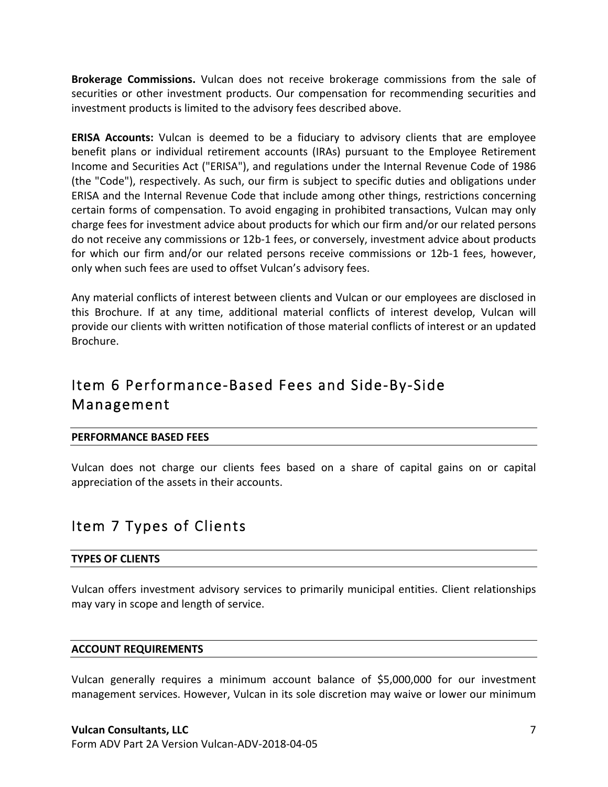**Brokerage Commissions.** Vulcan does not receive brokerage commissions from the sale of securities or other investment products. Our compensation for recommending securities and investment products is limited to the advisory fees described above.

**ERISA Accounts:** Vulcan is deemed to be a fiduciary to advisory clients that are employee benefit plans or individual retirement accounts (IRAs) pursuant to the Employee Retirement Income and Securities Act ("ERISA"), and regulations under the Internal Revenue Code of 1986 (the "Code"), respectively. As such, our firm is subject to specific duties and obligations under ERISA and the Internal Revenue Code that include among other things, restrictions concerning certain forms of compensation. To avoid engaging in prohibited transactions, Vulcan may only charge fees for investment advice about products for which our firm and/or our related persons do not receive any commissions or 12b-1 fees, or conversely, investment advice about products for which our firm and/or our related persons receive commissions or 12b-1 fees, however, only when such fees are used to offset Vulcan's advisory fees.

Any material conflicts of interest between clients and Vulcan or our employees are disclosed in this Brochure. If at any time, additional material conflicts of interest develop, Vulcan will provide our clients with written notification of those material conflicts of interest or an updated Brochure.

# Item 6 Performance-Based Fees and Side-By-Side Management

### **PERFORMANCE BASED FEES**

Vulcan does not charge our clients fees based on a share of capital gains on or capital appreciation of the assets in their accounts.

## Item 7 Types of Clients

### **TYPES OF CLIENTS**

Vulcan offers investment advisory services to primarily municipal entities. Client relationships may vary in scope and length of service.

### **ACCOUNT REQUIREMENTS**

Vulcan generally requires a minimum account balance of \$5,000,000 for our investment management services. However, Vulcan in its sole discretion may waive or lower our minimum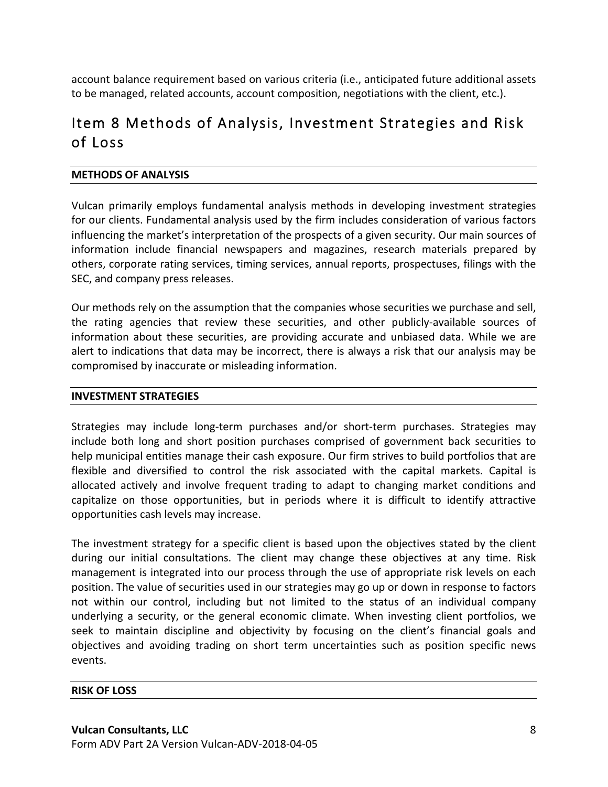account balance requirement based on various criteria (i.e., anticipated future additional assets to be managed, related accounts, account composition, negotiations with the client, etc.).

# Item 8 Methods of Analysis, Investment Strategies and Risk of Loss

### **METHODS OF ANALYSIS**

Vulcan primarily employs fundamental analysis methods in developing investment strategies for our clients. Fundamental analysis used by the firm includes consideration of various factors influencing the market's interpretation of the prospects of a given security. Our main sources of information include financial newspapers and magazines, research materials prepared by others, corporate rating services, timing services, annual reports, prospectuses, filings with the SEC, and company press releases.

Our methods rely on the assumption that the companies whose securities we purchase and sell, the rating agencies that review these securities, and other publicly-available sources of information about these securities, are providing accurate and unbiased data. While we are alert to indications that data may be incorrect, there is always a risk that our analysis may be compromised by inaccurate or misleading information.

#### **INVESTMENT STRATEGIES**

Strategies may include long-term purchases and/or short-term purchases. Strategies may include both long and short position purchases comprised of government back securities to help municipal entities manage their cash exposure. Our firm strives to build portfolios that are flexible and diversified to control the risk associated with the capital markets. Capital is allocated actively and involve frequent trading to adapt to changing market conditions and capitalize on those opportunities, but in periods where it is difficult to identify attractive opportunities cash levels may increase.

The investment strategy for a specific client is based upon the objectives stated by the client during our initial consultations. The client may change these objectives at any time. Risk management is integrated into our process through the use of appropriate risk levels on each position. The value of securities used in our strategies may go up or down in response to factors not within our control, including but not limited to the status of an individual company underlying a security, or the general economic climate. When investing client portfolios, we seek to maintain discipline and objectivity by focusing on the client's financial goals and objectives and avoiding trading on short term uncertainties such as position specific news events.

#### **RISK OF LOSS**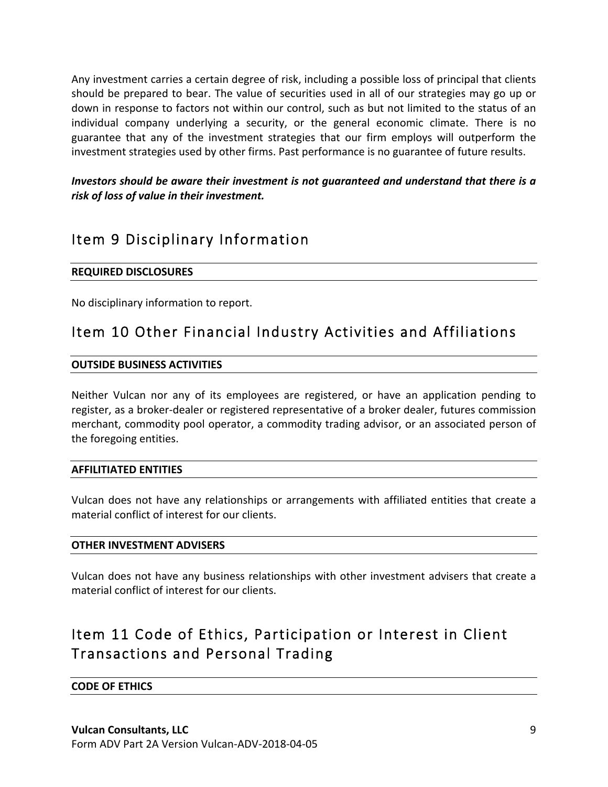Any investment carries a certain degree of risk, including a possible loss of principal that clients should be prepared to bear. The value of securities used in all of our strategies may go up or down in response to factors not within our control, such as but not limited to the status of an individual company underlying a security, or the general economic climate. There is no guarantee that any of the investment strategies that our firm employs will outperform the investment strategies used by other firms. Past performance is no guarantee of future results.

*Investors should be aware their investment is not quaranteed and understand that there is a* risk of loss of value in their investment.

# Item 9 Disciplinary Information

## **REQUIRED DISCLOSURES**

No disciplinary information to report.

## Item 10 Other Financial Industry Activities and Affiliations

### **OUTSIDE BUSINESS ACTIVITIES**

Neither Vulcan nor any of its employees are registered, or have an application pending to register, as a broker-dealer or registered representative of a broker dealer, futures commission merchant, commodity pool operator, a commodity trading advisor, or an associated person of the foregoing entities.

### **AFFILITIATED ENTITIES**

Vulcan does not have any relationships or arrangements with affiliated entities that create a material conflict of interest for our clients.

### **OTHER INVESTMENT ADVISERS**

Vulcan does not have any business relationships with other investment advisers that create a material conflict of interest for our clients.

# Item 11 Code of Ethics, Participation or Interest in Client Transactions and Personal Trading

### **CODE OF ETHICS**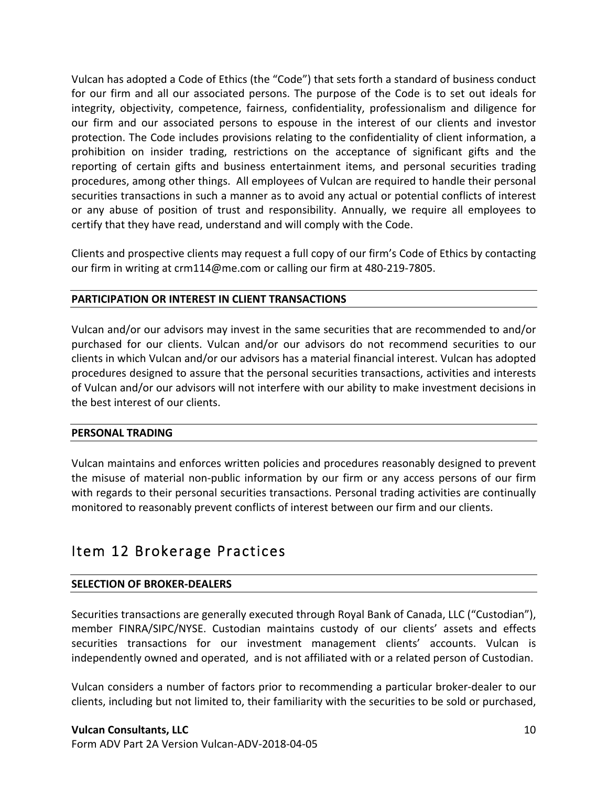Vulcan has adopted a Code of Ethics (the "Code") that sets forth a standard of business conduct for our firm and all our associated persons. The purpose of the Code is to set out ideals for integrity, objectivity, competence, fairness, confidentiality, professionalism and diligence for our firm and our associated persons to espouse in the interest of our clients and investor protection. The Code includes provisions relating to the confidentiality of client information, a prohibition on insider trading, restrictions on the acceptance of significant gifts and the reporting of certain gifts and business entertainment items, and personal securities trading procedures, among other things. All employees of Vulcan are required to handle their personal securities transactions in such a manner as to avoid any actual or potential conflicts of interest or any abuse of position of trust and responsibility. Annually, we require all employees to certify that they have read, understand and will comply with the Code.

Clients and prospective clients may request a full copy of our firm's Code of Ethics by contacting our firm in writing at crm114@me.com or calling our firm at 480-219-7805.

### **PARTICIPATION OR INTEREST IN CLIENT TRANSACTIONS**

Vulcan and/or our advisors may invest in the same securities that are recommended to and/or purchased for our clients. Vulcan and/or our advisors do not recommend securities to our clients in which Vulcan and/or our advisors has a material financial interest. Vulcan has adopted procedures designed to assure that the personal securities transactions, activities and interests of Vulcan and/or our advisors will not interfere with our ability to make investment decisions in the best interest of our clients.

#### **PERSONAL TRADING**

Vulcan maintains and enforces written policies and procedures reasonably designed to prevent the misuse of material non-public information by our firm or any access persons of our firm with regards to their personal securities transactions. Personal trading activities are continually monitored to reasonably prevent conflicts of interest between our firm and our clients.

## Item 12 Brokerage Practices

### **SELECTION OF BROKER-DEALERS**

Securities transactions are generally executed through Royal Bank of Canada, LLC ("Custodian"), member FINRA/SIPC/NYSE. Custodian maintains custody of our clients' assets and effects securities transactions for our investment management clients' accounts. Vulcan is independently owned and operated, and is not affiliated with or a related person of Custodian.

Vulcan considers a number of factors prior to recommending a particular broker-dealer to our clients, including but not limited to, their familiarity with the securities to be sold or purchased,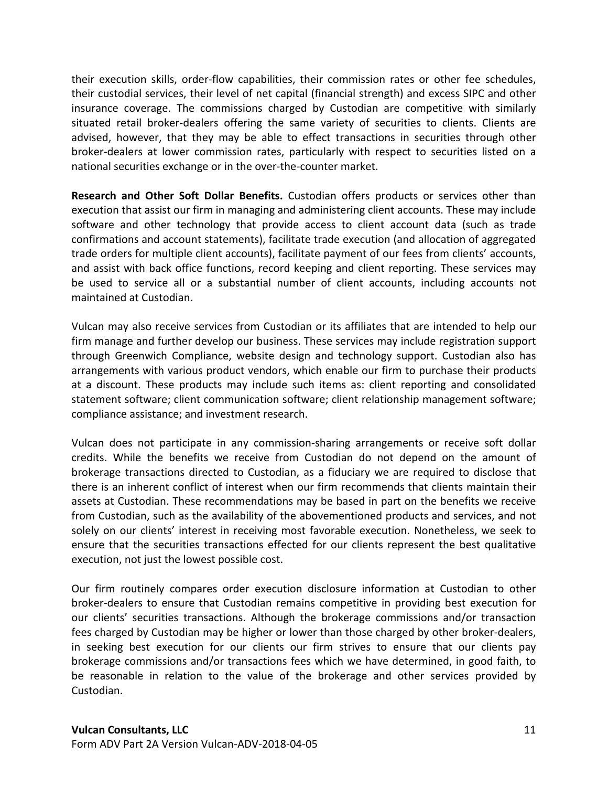their execution skills, order-flow capabilities, their commission rates or other fee schedules, their custodial services, their level of net capital (financial strength) and excess SIPC and other insurance coverage. The commissions charged by Custodian are competitive with similarly situated retail broker-dealers offering the same variety of securities to clients. Clients are advised, however, that they may be able to effect transactions in securities through other broker-dealers at lower commission rates, particularly with respect to securities listed on a national securities exchange or in the over-the-counter market.

**Research and Other Soft Dollar Benefits.** Custodian offers products or services other than execution that assist our firm in managing and administering client accounts. These may include software and other technology that provide access to client account data (such as trade confirmations and account statements), facilitate trade execution (and allocation of aggregated trade orders for multiple client accounts), facilitate payment of our fees from clients' accounts, and assist with back office functions, record keeping and client reporting. These services may be used to service all or a substantial number of client accounts, including accounts not maintained at Custodian.

Vulcan may also receive services from Custodian or its affiliates that are intended to help our firm manage and further develop our business. These services may include registration support through Greenwich Compliance, website design and technology support. Custodian also has arrangements with various product vendors, which enable our firm to purchase their products at a discount. These products may include such items as: client reporting and consolidated statement software; client communication software; client relationship management software; compliance assistance; and investment research.

Vulcan does not participate in any commission-sharing arrangements or receive soft dollar credits. While the benefits we receive from Custodian do not depend on the amount of brokerage transactions directed to Custodian, as a fiduciary we are required to disclose that there is an inherent conflict of interest when our firm recommends that clients maintain their assets at Custodian. These recommendations may be based in part on the benefits we receive from Custodian, such as the availability of the abovementioned products and services, and not solely on our clients' interest in receiving most favorable execution. Nonetheless, we seek to ensure that the securities transactions effected for our clients represent the best qualitative execution, not just the lowest possible cost.

Our firm routinely compares order execution disclosure information at Custodian to other broker-dealers to ensure that Custodian remains competitive in providing best execution for our clients' securities transactions. Although the brokerage commissions and/or transaction fees charged by Custodian may be higher or lower than those charged by other broker-dealers, in seeking best execution for our clients our firm strives to ensure that our clients pay brokerage commissions and/or transactions fees which we have determined, in good faith, to be reasonable in relation to the value of the brokerage and other services provided by Custodian.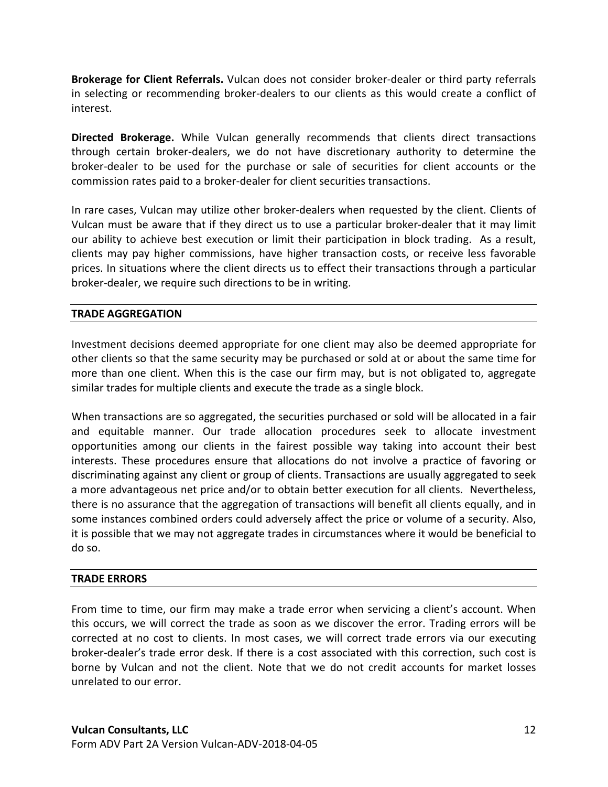**Brokerage for Client Referrals.** Vulcan does not consider broker-dealer or third party referrals in selecting or recommending broker-dealers to our clients as this would create a conflict of interest.

**Directed Brokerage.** While Vulcan generally recommends that clients direct transactions through certain broker-dealers, we do not have discretionary authority to determine the broker-dealer to be used for the purchase or sale of securities for client accounts or the commission rates paid to a broker-dealer for client securities transactions.

In rare cases, Vulcan may utilize other broker-dealers when requested by the client. Clients of Vulcan must be aware that if they direct us to use a particular broker-dealer that it may limit our ability to achieve best execution or limit their participation in block trading. As a result, clients may pay higher commissions, have higher transaction costs, or receive less favorable prices. In situations where the client directs us to effect their transactions through a particular broker-dealer, we require such directions to be in writing.

## **TRADE AGGREGATION**

Investment decisions deemed appropriate for one client may also be deemed appropriate for other clients so that the same security may be purchased or sold at or about the same time for more than one client. When this is the case our firm may, but is not obligated to, aggregate similar trades for multiple clients and execute the trade as a single block.

When transactions are so aggregated, the securities purchased or sold will be allocated in a fair and equitable manner. Our trade allocation procedures seek to allocate investment opportunities among our clients in the fairest possible way taking into account their best interests. These procedures ensure that allocations do not involve a practice of favoring or discriminating against any client or group of clients. Transactions are usually aggregated to seek a more advantageous net price and/or to obtain better execution for all clients. Nevertheless, there is no assurance that the aggregation of transactions will benefit all clients equally, and in some instances combined orders could adversely affect the price or volume of a security. Also, it is possible that we may not aggregate trades in circumstances where it would be beneficial to do so.

### **TRADE ERRORS**

From time to time, our firm may make a trade error when servicing a client's account. When this occurs, we will correct the trade as soon as we discover the error. Trading errors will be corrected at no cost to clients. In most cases, we will correct trade errors via our executing broker-dealer's trade error desk. If there is a cost associated with this correction, such cost is borne by Vulcan and not the client. Note that we do not credit accounts for market losses unrelated to our error.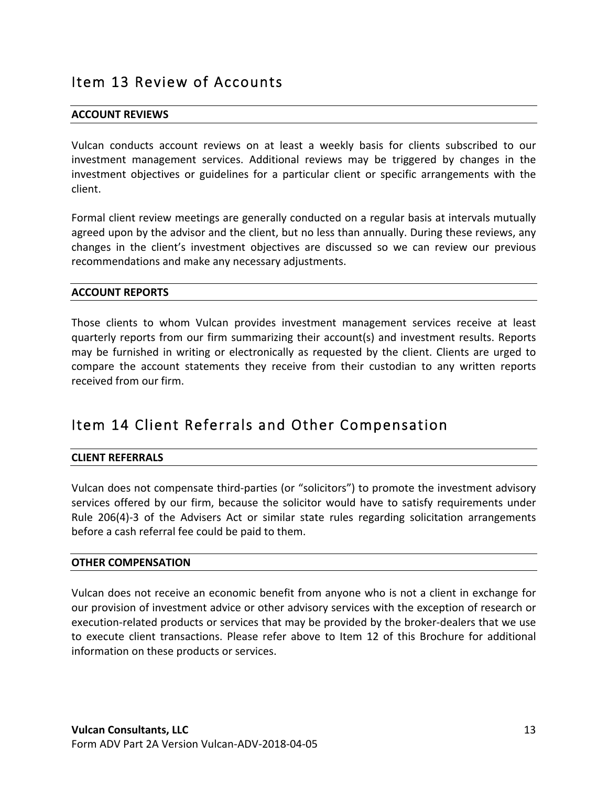## Item 13 Review of Accounts

#### **ACCOUNT REVIEWS**

Vulcan conducts account reviews on at least a weekly basis for clients subscribed to our investment management services. Additional reviews may be triggered by changes in the investment objectives or guidelines for a particular client or specific arrangements with the client. 

Formal client review meetings are generally conducted on a regular basis at intervals mutually agreed upon by the advisor and the client, but no less than annually. During these reviews, any changes in the client's investment objectives are discussed so we can review our previous recommendations and make any necessary adjustments.

#### **ACCOUNT REPORTS**

Those clients to whom Vulcan provides investment management services receive at least quarterly reports from our firm summarizing their account(s) and investment results. Reports may be furnished in writing or electronically as requested by the client. Clients are urged to compare the account statements they receive from their custodian to any written reports received from our firm.

# Item 14 Client Referrals and Other Compensation

#### **CLIENT REFERRALS**

Vulcan does not compensate third-parties (or "solicitors") to promote the investment advisory services offered by our firm, because the solicitor would have to satisfy requirements under Rule 206(4)-3 of the Advisers Act or similar state rules regarding solicitation arrangements before a cash referral fee could be paid to them.

#### **OTHER COMPENSATION**

Vulcan does not receive an economic benefit from anyone who is not a client in exchange for our provision of investment advice or other advisory services with the exception of research or execution-related products or services that may be provided by the broker-dealers that we use to execute client transactions. Please refer above to Item 12 of this Brochure for additional information on these products or services.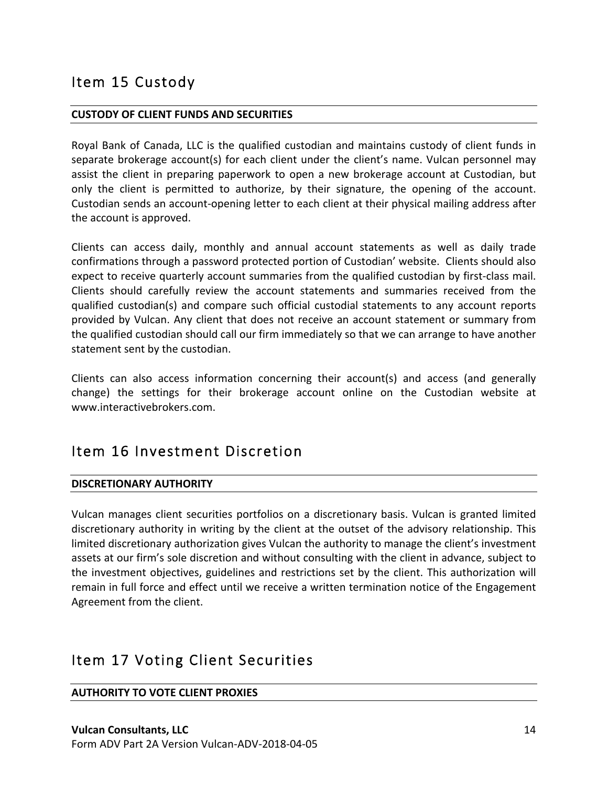## Item 15 Custody

### **CUSTODY OF CLIENT FUNDS AND SECURITIES**

Royal Bank of Canada, LLC is the qualified custodian and maintains custody of client funds in separate brokerage account(s) for each client under the client's name. Vulcan personnel may assist the client in preparing paperwork to open a new brokerage account at Custodian, but only the client is permitted to authorize, by their signature, the opening of the account. Custodian sends an account-opening letter to each client at their physical mailing address after the account is approved.

Clients can access daily, monthly and annual account statements as well as daily trade confirmations through a password protected portion of Custodian' website. Clients should also expect to receive quarterly account summaries from the qualified custodian by first-class mail. Clients should carefully review the account statements and summaries received from the qualified custodian(s) and compare such official custodial statements to any account reports provided by Vulcan. Any client that does not receive an account statement or summary from the qualified custodian should call our firm immediately so that we can arrange to have another statement sent by the custodian.

Clients can also access information concerning their account(s) and access (and generally change) the settings for their brokerage account online on the Custodian website at www.interactivebrokers.com. 

## Item 16 Investment Discretion

## **DISCRETIONARY AUTHORITY**

Vulcan manages client securities portfolios on a discretionary basis. Vulcan is granted limited discretionary authority in writing by the client at the outset of the advisory relationship. This limited discretionary authorization gives Vulcan the authority to manage the client's investment assets at our firm's sole discretion and without consulting with the client in advance, subject to the investment objectives, guidelines and restrictions set by the client. This authorization will remain in full force and effect until we receive a written termination notice of the Engagement Agreement from the client.

## Item 17 Voting Client Securities

### **AUTHORITY TO VOTE CLIENT PROXIES**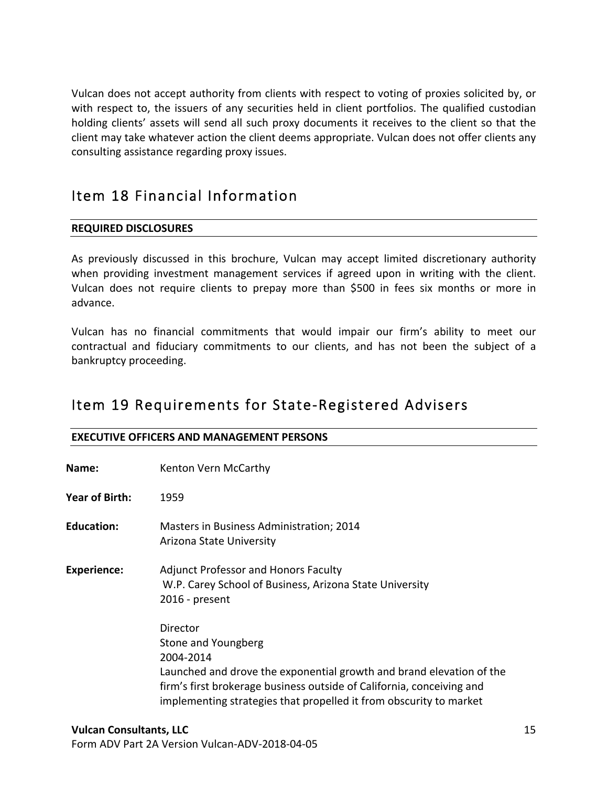Vulcan does not accept authority from clients with respect to voting of proxies solicited by, or with respect to, the issuers of any securities held in client portfolios. The qualified custodian holding clients' assets will send all such proxy documents it receives to the client so that the client may take whatever action the client deems appropriate. Vulcan does not offer clients any consulting assistance regarding proxy issues.

# Item 18 Financial Information

## **REQUIRED DISCLOSURES**

As previously discussed in this brochure, Vulcan may accept limited discretionary authority when providing investment management services if agreed upon in writing with the client. Vulcan does not require clients to prepay more than \$500 in fees six months or more in advance.

Vulcan has no financial commitments that would impair our firm's ability to meet our contractual and fiduciary commitments to our clients, and has not been the subject of a bankruptcy proceeding.

## Item 19 Requirements for State-Registered Advisers

| <b>EXECUTIVE OFFICERS AND MANAGEMENT PERSONS</b> |                                                                                                                                                                                                                                                                     |  |
|--------------------------------------------------|---------------------------------------------------------------------------------------------------------------------------------------------------------------------------------------------------------------------------------------------------------------------|--|
| Name:                                            | Kenton Vern McCarthy                                                                                                                                                                                                                                                |  |
| Year of Birth:                                   | 1959                                                                                                                                                                                                                                                                |  |
| <b>Education:</b>                                | Masters in Business Administration; 2014<br>Arizona State University                                                                                                                                                                                                |  |
| <b>Experience:</b>                               | <b>Adjunct Professor and Honors Faculty</b><br>W.P. Carey School of Business, Arizona State University<br>2016 - present                                                                                                                                            |  |
|                                                  | Director<br>Stone and Youngberg<br>2004-2014<br>Launched and drove the exponential growth and brand elevation of the<br>firm's first brokerage business outside of California, conceiving and<br>implementing strategies that propelled it from obscurity to market |  |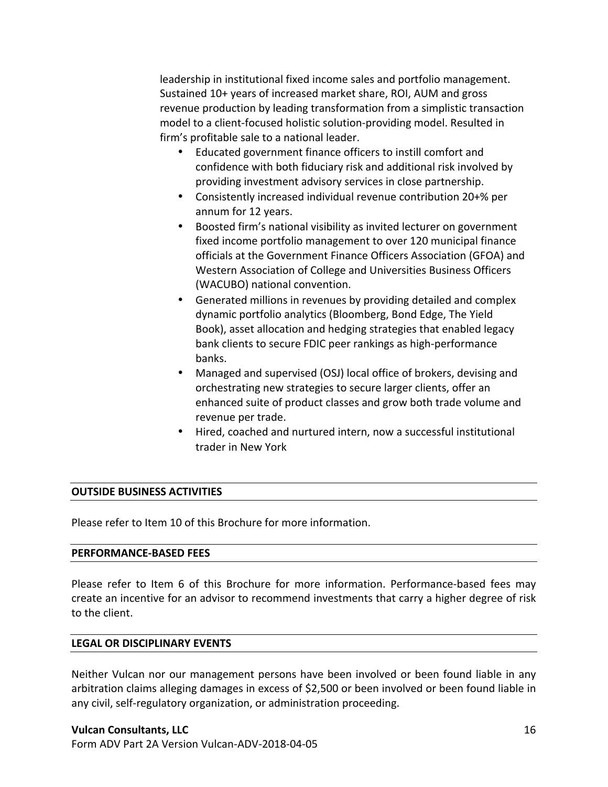leadership in institutional fixed income sales and portfolio management. Sustained 10+ years of increased market share, ROI, AUM and gross revenue production by leading transformation from a simplistic transaction model to a client-focused holistic solution-providing model. Resulted in firm's profitable sale to a national leader.

- Educated government finance officers to instill comfort and confidence with both fiduciary risk and additional risk involved by providing investment advisory services in close partnership.
- Consistently increased individual revenue contribution 20+% per annum for 12 years.
- Boosted firm's national visibility as invited lecturer on government fixed income portfolio management to over 120 municipal finance officials at the Government Finance Officers Association (GFOA) and Western Association of College and Universities Business Officers (WACUBO) national convention.
- Generated millions in revenues by providing detailed and complex dynamic portfolio analytics (Bloomberg, Bond Edge, The Yield Book), asset allocation and hedging strategies that enabled legacy bank clients to secure FDIC peer rankings as high-performance banks.
- Managed and supervised (OSJ) local office of brokers, devising and orchestrating new strategies to secure larger clients, offer an enhanced suite of product classes and grow both trade volume and revenue per trade.
- Hired, coached and nurtured intern, now a successful institutional trader in New York

### **OUTSIDE BUSINESS ACTIVITIES**

Please refer to Item 10 of this Brochure for more information.

#### **PERFORMANCE-BASED FEES**

Please refer to Item 6 of this Brochure for more information. Performance-based fees may create an incentive for an advisor to recommend investments that carry a higher degree of risk to the client.

### **LEGAL OR DISCIPLINARY EVENTS**

Neither Vulcan nor our management persons have been involved or been found liable in any arbitration claims alleging damages in excess of \$2,500 or been involved or been found liable in any civil, self-regulatory organization, or administration proceeding.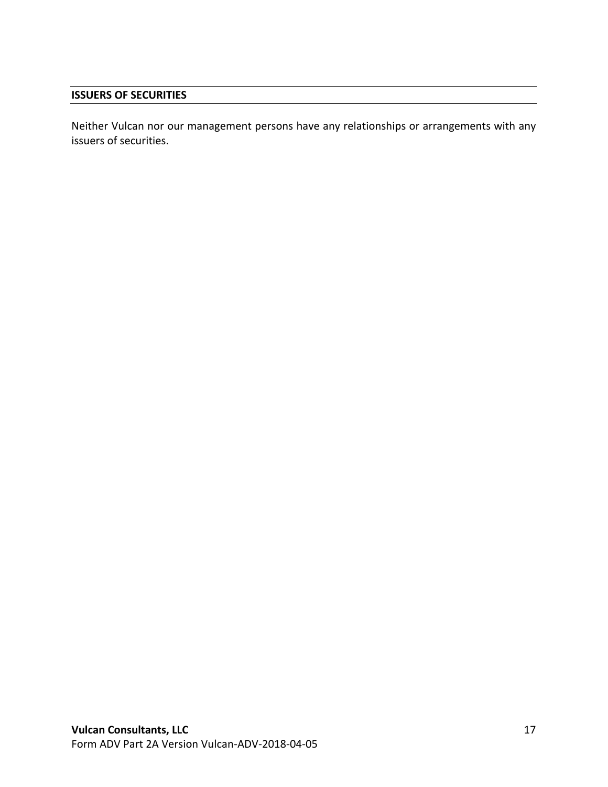### **ISSUERS OF SECURITIES**

Neither Vulcan nor our management persons have any relationships or arrangements with any issuers of securities.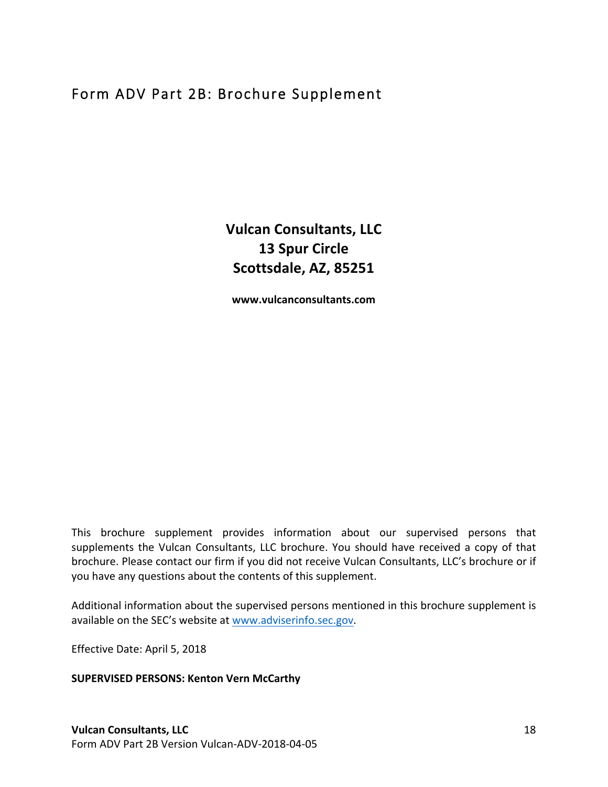# Form ADV Part 2B: Brochure Supplement

**Vulcan Consultants, LLC 13 Spur Circle Scottsdale, AZ, 85251**

**www.vulcanconsultants.com**

This brochure supplement provides information about our supervised persons that supplements the Vulcan Consultants, LLC brochure. You should have received a copy of that brochure. Please contact our firm if you did not receive Vulcan Consultants, LLC's brochure or if you have any questions about the contents of this supplement.

Additional information about the supervised persons mentioned in this brochure supplement is available on the SEC's website at www.adviserinfo.sec.gov.

Effective Date: April 5, 2018

### **SUPERVISED PERSONS: Kenton Vern McCarthy**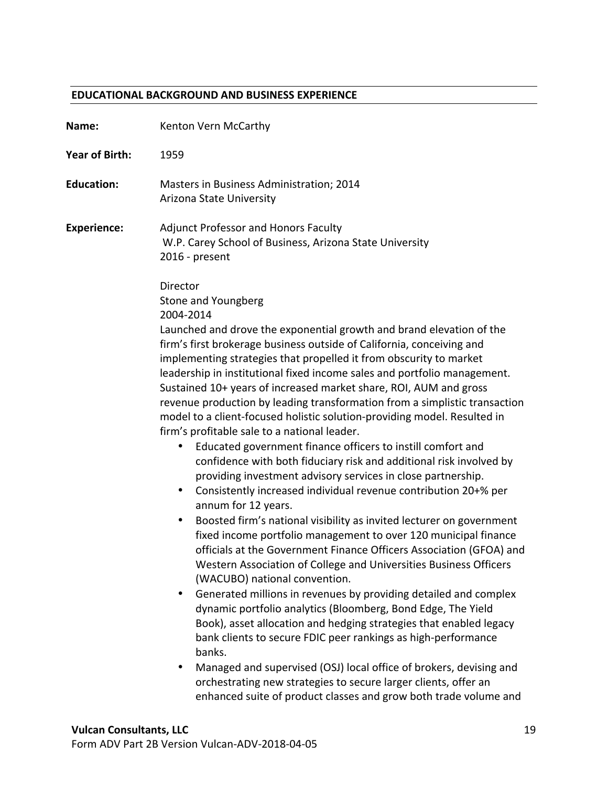### **EDUCATIONAL BACKGROUND AND BUSINESS EXPERIENCE**

| Name:                 | Kenton Vern McCarthy                                                                                                                                                                                                                                                                                                                                                                                                                                                                                                                                                                                                                                                                                                                                                                                                                                                                                                                                                                                                                                                                                                                                                                                                                                                                                                                                                                                                                                                                                                                                                                                                                                                                                                                                                              |
|-----------------------|-----------------------------------------------------------------------------------------------------------------------------------------------------------------------------------------------------------------------------------------------------------------------------------------------------------------------------------------------------------------------------------------------------------------------------------------------------------------------------------------------------------------------------------------------------------------------------------------------------------------------------------------------------------------------------------------------------------------------------------------------------------------------------------------------------------------------------------------------------------------------------------------------------------------------------------------------------------------------------------------------------------------------------------------------------------------------------------------------------------------------------------------------------------------------------------------------------------------------------------------------------------------------------------------------------------------------------------------------------------------------------------------------------------------------------------------------------------------------------------------------------------------------------------------------------------------------------------------------------------------------------------------------------------------------------------------------------------------------------------------------------------------------------------|
| <b>Year of Birth:</b> | 1959                                                                                                                                                                                                                                                                                                                                                                                                                                                                                                                                                                                                                                                                                                                                                                                                                                                                                                                                                                                                                                                                                                                                                                                                                                                                                                                                                                                                                                                                                                                                                                                                                                                                                                                                                                              |
| <b>Education:</b>     | Masters in Business Administration; 2014<br>Arizona State University                                                                                                                                                                                                                                                                                                                                                                                                                                                                                                                                                                                                                                                                                                                                                                                                                                                                                                                                                                                                                                                                                                                                                                                                                                                                                                                                                                                                                                                                                                                                                                                                                                                                                                              |
| <b>Experience:</b>    | <b>Adjunct Professor and Honors Faculty</b><br>W.P. Carey School of Business, Arizona State University<br>2016 - present                                                                                                                                                                                                                                                                                                                                                                                                                                                                                                                                                                                                                                                                                                                                                                                                                                                                                                                                                                                                                                                                                                                                                                                                                                                                                                                                                                                                                                                                                                                                                                                                                                                          |
|                       | Director<br>Stone and Youngberg<br>2004-2014<br>Launched and drove the exponential growth and brand elevation of the<br>firm's first brokerage business outside of California, conceiving and<br>implementing strategies that propelled it from obscurity to market<br>leadership in institutional fixed income sales and portfolio management.<br>Sustained 10+ years of increased market share, ROI, AUM and gross<br>revenue production by leading transformation from a simplistic transaction<br>model to a client-focused holistic solution-providing model. Resulted in<br>firm's profitable sale to a national leader.<br>Educated government finance officers to instill comfort and<br>٠<br>confidence with both fiduciary risk and additional risk involved by<br>providing investment advisory services in close partnership.<br>Consistently increased individual revenue contribution 20+% per<br>٠<br>annum for 12 years.<br>Boosted firm's national visibility as invited lecturer on government<br>٠<br>fixed income portfolio management to over 120 municipal finance<br>officials at the Government Finance Officers Association (GFOA) and<br>Western Association of College and Universities Business Officers<br>(WACUBO) national convention.<br>Generated millions in revenues by providing detailed and complex<br>٠<br>dynamic portfolio analytics (Bloomberg, Bond Edge, The Yield<br>Book), asset allocation and hedging strategies that enabled legacy<br>bank clients to secure FDIC peer rankings as high-performance<br>banks.<br>Managed and supervised (OSJ) local office of brokers, devising and<br>٠<br>orchestrating new strategies to secure larger clients, offer an<br>enhanced suite of product classes and grow both trade volume and |